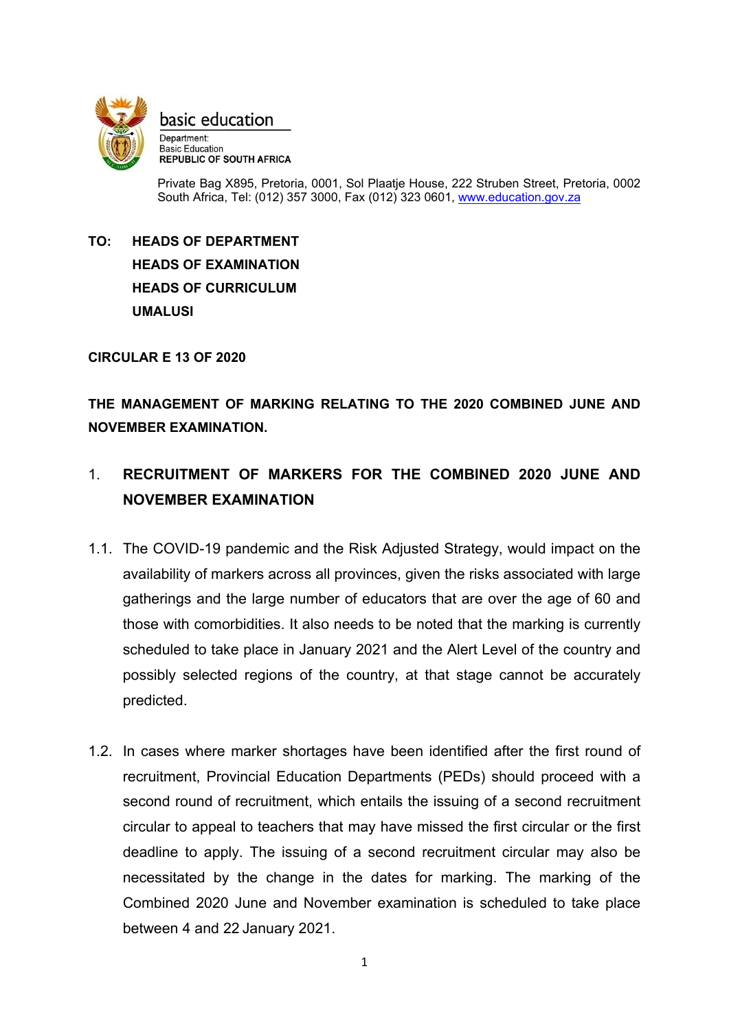

basic education

Department: **Basic Education REPUBLIC OF SOUTH AFRICA** 

Private Bag X895, Pretoria, 0001, Sol Plaatje House, 222 Struben Street, Pretoria, 0002 South Africa, Tel: (012) 357 3000, Fax (012) 323 0601, [www.education.gov.za](http://www.education.gov.za/)

**TO: HEADS OF DEPARTMENT HEADS OF EXAMINATION HEADS OF CURRICULUM UMALUSI**

**CIRCULAR E 13 OF 2020**

**THE MANAGEMENT OF MARKING RELATING TO THE 2020 COMBINED JUNE AND NOVEMBER EXAMINATION.**

# 1. **RECRUITMENT OF MARKERS FOR THE COMBINED 2020 JUNE AND NOVEMBER EXAMINATION**

- 1.1. The COVID-19 pandemic and the Risk Adjusted Strategy, would impact on the availability of markers across all provinces, given the risks associated with large gatherings and the large number of educators that are over the age of 60 and those with comorbidities. It also needs to be noted that the marking is currently scheduled to take place in January 2021 and the Alert Level of the country and possibly selected regions of the country, at that stage cannot be accurately predicted.
- 1.2. In cases where marker shortages have been identified after the first round of recruitment, Provincial Education Departments (PEDs) should proceed with a second round of recruitment, which entails the issuing of a second recruitment circular to appeal to teachers that may have missed the first circular or the first deadline to apply. The issuing of a second recruitment circular may also be necessitated by the change in the dates for marking. The marking of the Combined 2020 June and November examination is scheduled to take place between 4 and 22 January 2021.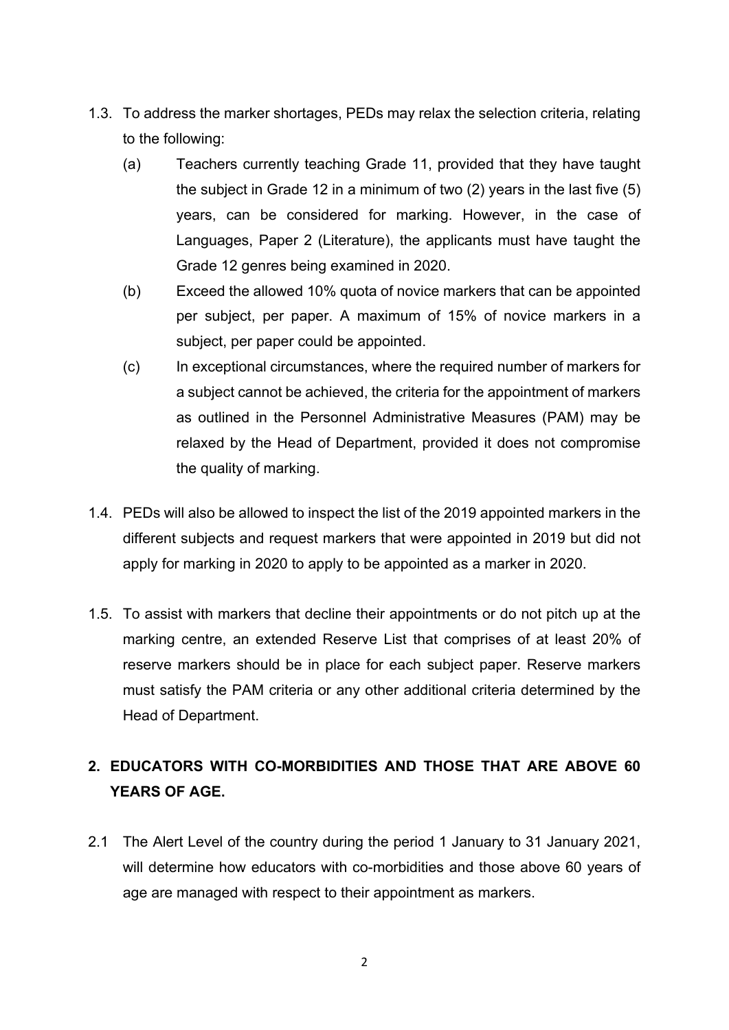- 1.3. To address the marker shortages, PEDs may relax the selection criteria, relating to the following:
	- (a) Teachers currently teaching Grade 11, provided that they have taught the subject in Grade 12 in a minimum of two (2) years in the last five (5) years, can be considered for marking. However, in the case of Languages, Paper 2 (Literature), the applicants must have taught the Grade 12 genres being examined in 2020.
	- (b) Exceed the allowed 10% quota of novice markers that can be appointed per subject, per paper. A maximum of 15% of novice markers in a subject, per paper could be appointed.
	- (c) In exceptional circumstances, where the required number of markers for a subject cannot be achieved, the criteria for the appointment of markers as outlined in the Personnel Administrative Measures (PAM) may be relaxed by the Head of Department, provided it does not compromise the quality of marking.
- 1.4. PEDs will also be allowed to inspect the list of the 2019 appointed markers in the different subjects and request markers that were appointed in 2019 but did not apply for marking in 2020 to apply to be appointed as a marker in 2020.
- 1.5. To assist with markers that decline their appointments or do not pitch up at the marking centre, an extended Reserve List that comprises of at least 20% of reserve markers should be in place for each subject paper. Reserve markers must satisfy the PAM criteria or any other additional criteria determined by the Head of Department.

# **2. EDUCATORS WITH CO-MORBIDITIES AND THOSE THAT ARE ABOVE 60 YEARS OF AGE.**

2.1 The Alert Level of the country during the period 1 January to 31 January 2021, will determine how educators with co-morbidities and those above 60 years of age are managed with respect to their appointment as markers.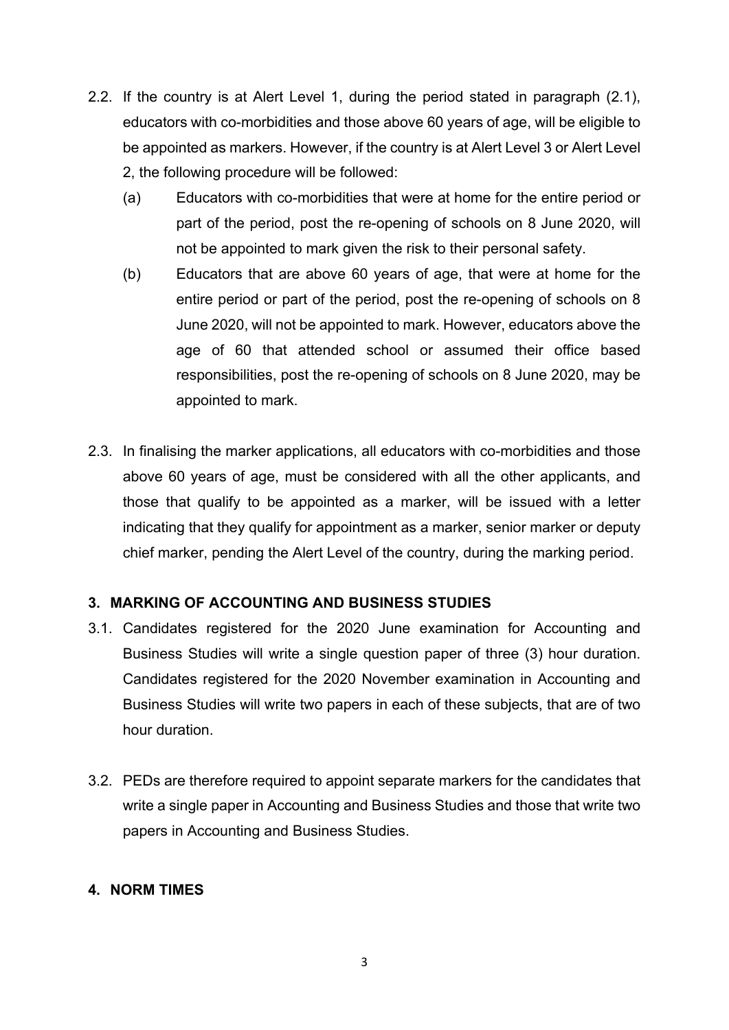- 2.2. If the country is at Alert Level 1, during the period stated in paragraph (2.1), educators with co-morbidities and those above 60 years of age, will be eligible to be appointed as markers. However, if the country is at Alert Level 3 or Alert Level 2, the following procedure will be followed:
	- (a) Educators with co-morbidities that were at home for the entire period or part of the period, post the re-opening of schools on 8 June 2020, will not be appointed to mark given the risk to their personal safety.
	- (b) Educators that are above 60 years of age, that were at home for the entire period or part of the period, post the re-opening of schools on 8 June 2020, will not be appointed to mark. However, educators above the age of 60 that attended school or assumed their office based responsibilities, post the re-opening of schools on 8 June 2020, may be appointed to mark.
- 2.3. In finalising the marker applications, all educators with co-morbidities and those above 60 years of age, must be considered with all the other applicants, and those that qualify to be appointed as a marker, will be issued with a letter indicating that they qualify for appointment as a marker, senior marker or deputy chief marker, pending the Alert Level of the country, during the marking period.

## **3. MARKING OF ACCOUNTING AND BUSINESS STUDIES**

- 3.1. Candidates registered for the 2020 June examination for Accounting and Business Studies will write a single question paper of three (3) hour duration. Candidates registered for the 2020 November examination in Accounting and Business Studies will write two papers in each of these subjects, that are of two hour duration.
- 3.2. PEDs are therefore required to appoint separate markers for the candidates that write a single paper in Accounting and Business Studies and those that write two papers in Accounting and Business Studies.

## **4. NORM TIMES**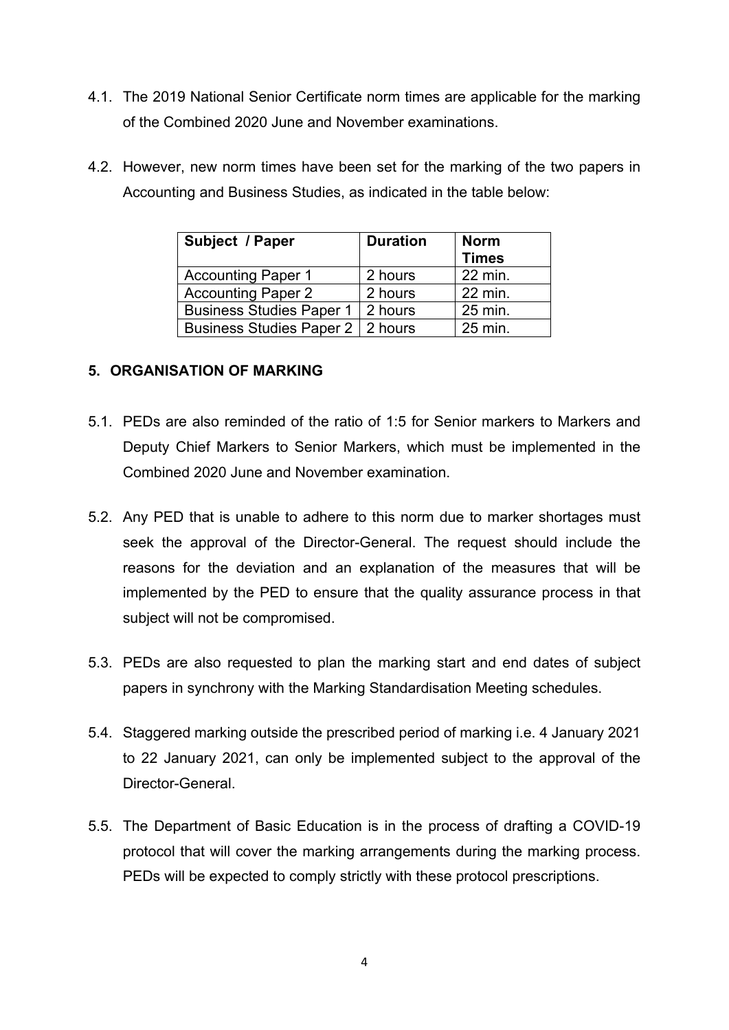- 4.1. The 2019 National Senior Certificate norm times are applicable for the marking of the Combined 2020 June and November examinations.
- 4.2. However, new norm times have been set for the marking of the two papers in Accounting and Business Studies, as indicated in the table below:

| Subject / Paper                    | <b>Duration</b> | <b>Norm</b>  |
|------------------------------------|-----------------|--------------|
|                                    |                 | <b>Times</b> |
| <b>Accounting Paper 1</b>          | 2 hours         | 22 min.      |
| <b>Accounting Paper 2</b>          | 2 hours         | 22 min.      |
| <b>Business Studies Paper 1</b>    | 2 hours         | 25 min.      |
| Business Studies Paper 2   2 hours |                 | 25 min.      |

## **5. ORGANISATION OF MARKING**

- 5.1. PEDs are also reminded of the ratio of 1:5 for Senior markers to Markers and Deputy Chief Markers to Senior Markers, which must be implemented in the Combined 2020 June and November examination.
- 5.2. Any PED that is unable to adhere to this norm due to marker shortages must seek the approval of the Director-General. The request should include the reasons for the deviation and an explanation of the measures that will be implemented by the PED to ensure that the quality assurance process in that subject will not be compromised.
- 5.3. PEDs are also requested to plan the marking start and end dates of subject papers in synchrony with the Marking Standardisation Meeting schedules.
- 5.4. Staggered marking outside the prescribed period of marking i.e. 4 January 2021 to 22 January 2021, can only be implemented subject to the approval of the Director-General.
- 5.5. The Department of Basic Education is in the process of drafting a COVID-19 protocol that will cover the marking arrangements during the marking process. PEDs will be expected to comply strictly with these protocol prescriptions.